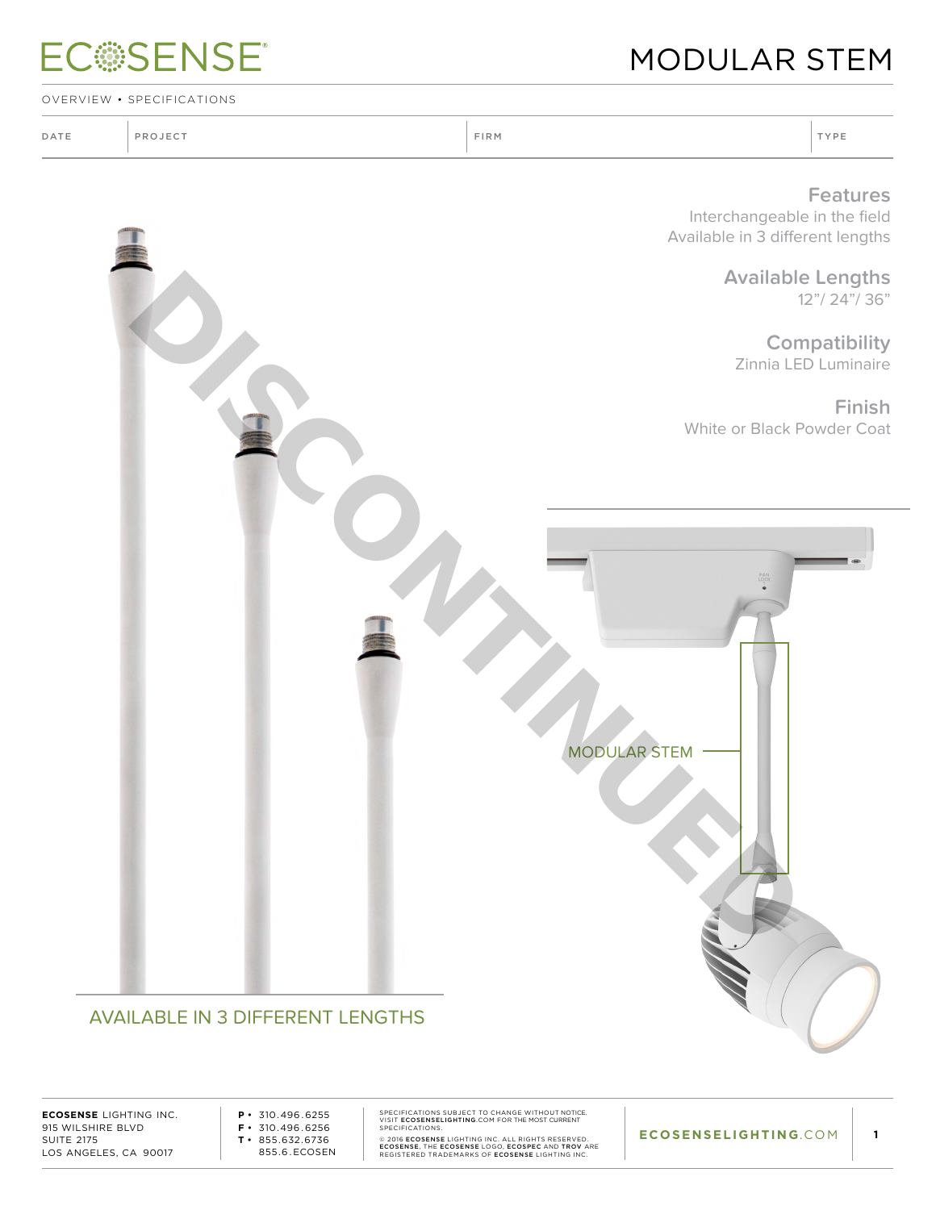## **ECSSENSE®**

### Modular Stem

OVERVIEW • SPECIFICATIONS

| DATE | PROJECT | FIRM | TYPE |
|------|---------|------|------|
|      |         |      |      |

#### **Features**

Interchangeable in the field Available in 3 different lengths

> **Available Lengths** 12"/ 24"/ 36"

**Compatibility** Zinnia LED Luminaire

**Finish**



#### AVAILABLE IN 3 DIFFERENT LENGTHS

**ECOSENSE** LIGHTING INC. 915 WILSHIRE BLVD SUITE 2175 LOS ANGELES, CA 90017

**P •** 310.496 . 6255 **F •** 310.496 . 6256 **T •** 855.632.6736 855.6 . ECOSEN

SPECIFICATIONS SUBJECT TO CHANGE WITHOUT NOTICE.<br>SPECIFICATIONS.<br>SPECIFICATIONS.<br>@ 2016 ECOSENSE LIGHTING INC. ALL RIGHTS RESERVED.<br>ECOSENSE, THE ECOSENSE LOGO, ECOSEPE AND TROV ARE<br>REGISTERED TRADEMARKS OF ECOSENSE LIGHTI